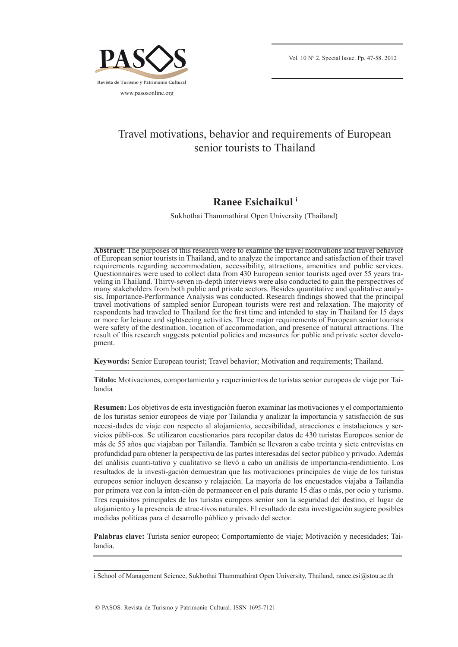

# Travel motivations, behavior and requirements of European senior tourists to Thailand

# **Ranee Esichaikul i**

Sukhothai Thammathirat Open University (Thailand)

**Abstract:** The purposes of this research were to examine the travel motivations and travel behavior of European senior tourists in Thailand, and to analyze the importance and satisfaction of their travel requirements regarding accommodation, accessibility, attractions, amenities and public services. Questionnaires were used to collect data from 430 European senior tourists aged over 55 years traveling in Thailand. Thirty-seven in-depth interviews were also conducted to gain the perspectives of many stakeholders from both public and private sectors. Besides quantitative and qualitative analysis, Importance-Performance Analysis was conducted. Research findings showed that the principal travel motivations of sampled senior European tourists were rest and relaxation. The majority of respondents had traveled to Thailand for the first time and intended to stay in Thailand for 15 days or more for leisure and sightseeing activities. Three major requirements of European senior tourists were safety of the destination, location of accommodation, and presence of natural attractions. The result of this research suggests potential policies and measures for public and private sector development.

**Keywords:** Senior European tourist; Travel behavior; Motivation and requirements; Thailand.

**Título:** Motivaciones, comportamiento y requerimientos de turistas senior europeos de viaje por Tailandia

**Resumen:** Los objetivos de esta investigación fueron examinar las motivaciones y el comportamiento de los turistas senior europeos de viaje por Tailandia y analizar la importancia y satisfacción de sus necesi-dades de viaje con respecto al alojamiento, accesibilidad, atracciones e instalaciones y servicios públi-cos. Se utilizaron cuestionarios para recopilar datos de 430 turistas Europeos senior de más de 55 años que viajaban por Tailandia. También se llevaron a cabo treinta y siete entrevistas en profundidad para obtener la perspectiva de las partes interesadas del sector público y privado. Además del análisis cuanti-tativo y cualitativo se llevó a cabo un análisis de importancia-rendimiento. Los resultados de la investi-gación demuestran que las motivaciones principales de viaje de los turistas europeos senior incluyen descanso y relajación. La mayoría de los encuestados viajaba a Tailandia por primera vez con la inten-ción de permanecer en el país durante 15 días o más, por ocio y turismo. Tres requisitos principales de los turistas europeos senior son la seguridad del destino, el lugar de alojamiento y la presencia de atrac-tivos naturales. El resultado de esta investigación sugiere posibles medidas políticas para el desarrollo público y privado del sector.

**Palabras clave:** Turista senior europeo; Comportamiento de viaje; Motivación y necesidades; Tailandia.

i School of Management Science, Sukhothai Thammathirat Open University, Thailand, ranee.esi@stou.ac.th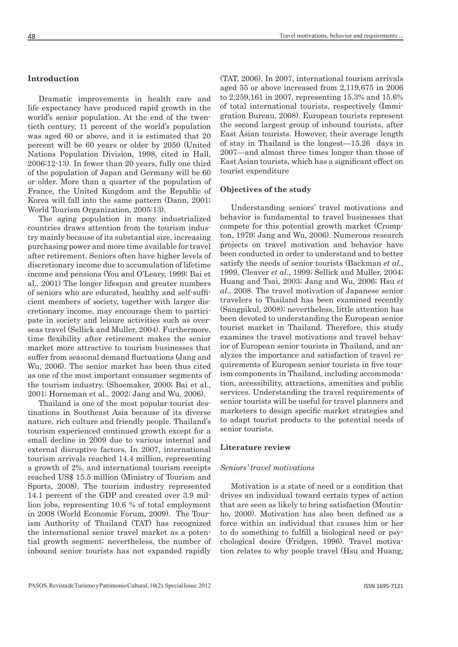# **Introduction**

Dramatic improvements in health care and life expectancy have produced rapid growth in the world's senior population. At the end of the twentieth century, 11 percent of the world's population was aged 60 or above, and it is estimated that 20 percent will be 60 years or older by 2050 (United Nations Population Division, 1998, cited in Hall, 2006:12-13). In fewer than 20 years, fully one third of the population of Japan and Germany will be 60 or older. More than a quarter of the population of France, the United Kingdom and the Republic of Korea will fall into the same pattern (Dann, 2001; World Tourism Organization, 2005:13).

The aging population in many industrialized countries draws attention from the tourism industry mainly because of its substantial size, increasing purchasing power and more time available for travel after retirement. Seniors often have higher levels of discretionary income due to accumulation of lifetime income and pensions (You and O'Leary, 1999; Bai et al., 2001) The longer lifespan and greater numbers of seniors who are educated, healthy and self-sufficient members of society, together with larger discretionary income, may encourage them to participate in society and leisure activities such as overseas travel (Sellick and Muller, 2004). Furthermore, time flexibility after retirement makes the senior market more attractive to tourism businesses that suffer from seasonal demand fluctuations (Jang and Wu, 2006). The senior market has been thus cited as one of the most important consumer segments of the tourism industry. (Shoemaker, 2000; Bai et al., 2001; Horneman et al., 2002; Jang and Wu, 2006).

Thailand is one of the most popular tourist destinations in Southeast Asia because of its diverse nature, rich culture and friendly people. Thailand's tourism experienced continued growth except for a small decline in 2009 due to various internal and external disruptive factors. In 2007, international tourism arrivals reached 14.4 million, representing a growth of 2%, and international tourism receipts reached US\$ 15.5 million (Ministry of Tourism and Sports, 2008). The tourism industry represented 14.1 percent of the GDP and created over 3.9 million jobs, representing 10.6 % of total employment in 2008 (World Economic Forum, 2009). The Tourism Authority of Thailand (TAT) has recognized the international senior travel market as a potential growth segment; nevertheless, the number of inbound senior tourists has not expanded rapidly

(TAT, 2006). In 2007, international tourism arrivals aged 55 or above increased from 2,119,675 in 2006 to 2,259,161 in 2007, representing 15.3% and 15.6% of total international tourists, respectively (Immigration Bureau, 2008). European tourists represent the second largest group of inbound tourists, after East Asian tourists. However, their average length of stay in Thailand is the longest—15.26 days in 2007—and almost three times longer than those of East Asian tourists, which has a significant effect on tourist expenditure

## **Objectives of the study**

Understanding seniors' travel motivations and behavior is fundamental to travel businesses that compete for this potential growth market (Crompton, 1979; Jang and Wu, 2006). Numerous research projects on travel motivation and behavior have been conducted in order to understand and to better satisfy the needs of senior tourists (Backman *et al.*, 1999, Cleaver *et al*., 1999; Sellick and Muller, 2004; Huang and Tsai, 2003; Jang and Wu, 2006; Hsu *et al*., 2008. The travel motivation of Japanese senior travelers to Thailand has been examined recently (Sangpikul, 2008); nevertheless, little attention has been devoted to understanding the European senior tourist market in Thailand. Therefore, this study examines the travel motivations and travel behavior of European senior tourists in Thailand, and analyzes the importance and satisfaction of travel requirements of European senior tourists in five tourism components in Thailand, including accommodation, accessibility, attractions, amenities and public services. Understanding the travel requirements of senior tourists will be useful for travel planners and marketers to design specific market strategies and to adapt tourist products to the potential needs of senior tourists.

#### **Literature review**

#### *Seniors' travel motivations*

Motivation is a state of need or a condition that drives an individual toward certain types of action that are seen as likely to bring satisfaction (Moutinho, 2000). Motivation has also been defined as a force within an individual that causes him or her to do something to fulfill a biological need or psychological desire (Fridgen, 1996). Travel motivation relates to why people travel (Hsu and Huang,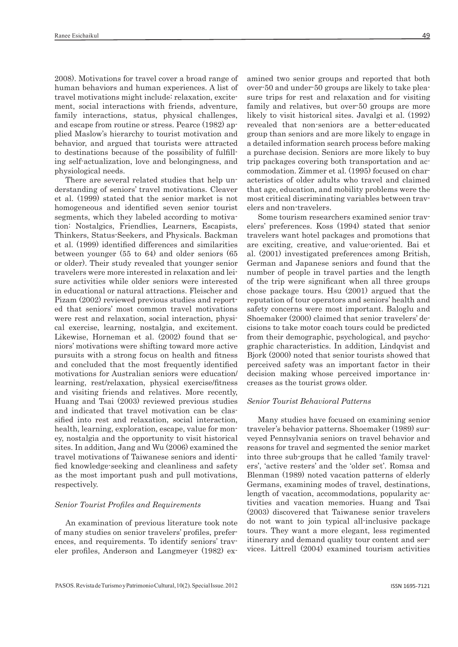2008). Motivations for travel cover a broad range of human behaviors and human experiences. A list of travel motivations might include: relaxation, excitement, social interactions with friends, adventure, family interactions, status, physical challenges, and escape from routine or stress. Pearce (1982) applied Maslow's hierarchy to tourist motivation and behavior, and argued that tourists were attracted to destinations because of the possibility of fulfilling self-actualization, love and belongingness, and physiological needs.

There are several related studies that help understanding of seniors' travel motivations. Cleaver et al. (1999) stated that the senior market is not homogeneous and identified seven senior tourist segments, which they labeled according to motivation: Nostalgics, Friendlies, Learners, Escapists, Thinkers, Status-Seekers, and Physicals. Backman et al. (1999) identified differences and similarities between younger (55 to 64) and older seniors (65 or older). Their study revealed that younger senior travelers were more interested in relaxation and leisure activities while older seniors were interested in educational or natural attractions. Fleischer and Pizam (2002) reviewed previous studies and reported that seniors' most common travel motivations were rest and relaxation, social interaction, physical exercise, learning, nostalgia, and excitement. Likewise, Horneman et al. (2002) found that seniors' motivations were shifting toward more active pursuits with a strong focus on health and fitness and concluded that the most frequently identified motivations for Australian seniors were education/ learning, rest/relaxation, physical exercise/fitness and visiting friends and relatives. More recently, Huang and Tsai (2003) reviewed previous studies and indicated that travel motivation can be classified into rest and relaxation, social interaction, health, learning, exploration, escape, value for money, nostalgia and the opportunity to visit historical sites. In addition, Jang and Wu (2006) examined the travel motivations of Taiwanese seniors and identified knowledge-seeking and cleanliness and safety as the most important push and pull motivations, respectively.

## *Senior Tourist Profiles and Requirements*

An examination of previous literature took note of many studies on senior travelers' profiles, preferences, and requirements. To identify seniors' traveler profiles, Anderson and Langmeyer (1982) examined two senior groups and reported that both over-50 and under-50 groups are likely to take pleasure trips for rest and relaxation and for visiting family and relatives, but over-50 groups are more likely to visit historical sites. Javalgi et al. (1992) revealed that non-seniors are a better-educated group than seniors and are more likely to engage in a detailed information search process before making a purchase decision. Seniors are more likely to buy trip packages covering both transportation and accommodation. Zimmer et al. (1995) focused on characteristics of older adults who travel and claimed that age, education, and mobility problems were the most critical discriminating variables between travelers and non-travelers.

Some tourism researchers examined senior travelers' preferences. Koss (1994) stated that senior travelers want hotel packages and promotions that are exciting, creative, and value-oriented. Bai et al. (2001) investigated preferences among British, German and Japanese seniors and found that the number of people in travel parties and the length of the trip were significant when all three groups chose package tours. Hsu (2001) argued that the reputation of tour operators and seniors' health and safety concerns were most important. Baloglu and Shoemaker (2000) claimed that senior travelers' decisions to take motor coach tours could be predicted from their demographic, psychological, and psychographic characteristics. In addition, Lindqvist and Bjork (2000) noted that senior tourists showed that perceived safety was an important factor in their decision making whose perceived importance increases as the tourist grows older.

#### *Senior Tourist Behavioral Patterns*

Many studies have focused on examining senior traveler's behavior patterns. Shoemaker (1989) surveyed Pennsylvania seniors on travel behavior and reasons for travel and segmented the senior market into three sub-groups that he called 'family travelers', 'active resters' and the 'older set'. Romsa and Blenman (1989) noted vacation patterns of elderly Germans, examining modes of travel, destinations, length of vacation, accommodations, popularity activities and vacation memories. Huang and Tsai (2003) discovered that Taiwanese senior travelers do not want to join typical all-inclusive package tours. They want a more elegant, less regimented itinerary and demand quality tour content and services. Littrell (2004) examined tourism activities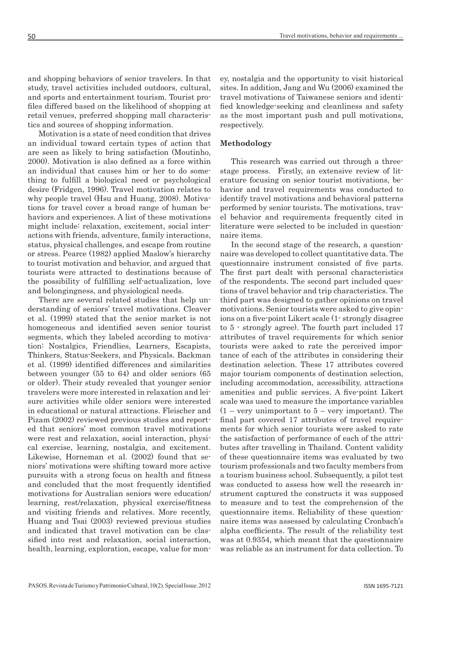and shopping behaviors of senior travelers. In that study, travel activities included outdoors, cultural, and sports and entertainment tourism. Tourist profiles differed based on the likelihood of shopping at retail venues, preferred shopping mall characteristics and sources of shopping information.

Motivation is a state of need condition that drives an individual toward certain types of action that are seen as likely to bring satisfaction (Moutinho, 2000). Motivation is also defined as a force within an individual that causes him or her to do something to fulfill a biological need or psychological desire (Fridgen, 1996). Travel motivation relates to why people travel (Hsu and Huang, 2008). Motivations for travel cover a broad range of human behaviors and experiences. A list of these motivations might include: relaxation, excitement, social interactions with friends, adventure, family interactions, status, physical challenges, and escape from routine or stress. Pearce (1982) applied Maslow's hierarchy to tourist motivation and behavior, and argued that tourists were attracted to destinations because of the possibility of fulfilling self-actualization, love and belongingness, and physiological needs.

There are several related studies that help understanding of seniors' travel motivations. Cleaver et al. (1999) stated that the senior market is not homogeneous and identified seven senior tourist segments, which they labeled according to motivation: Nostalgics, Friendlies, Learners, Escapists, Thinkers, Status-Seekers, and Physicals. Backman et al. (1999) identified differences and similarities between younger (55 to 64) and older seniors (65 or older). Their study revealed that younger senior travelers were more interested in relaxation and leisure activities while older seniors were interested in educational or natural attractions. Fleischer and Pizam (2002) reviewed previous studies and reported that seniors' most common travel motivations were rest and relaxation, social interaction, physical exercise, learning, nostalgia, and excitement. Likewise, Horneman et al. (2002) found that seniors' motivations were shifting toward more active pursuits with a strong focus on health and fitness and concluded that the most frequently identified motivations for Australian seniors were education/ learning, rest/relaxation, physical exercise/fitness and visiting friends and relatives. More recently, Huang and Tsai (2003) reviewed previous studies and indicated that travel motivation can be classified into rest and relaxation, social interaction, health, learning, exploration, escape, value for money, nostalgia and the opportunity to visit historical sites. In addition, Jang and Wu (2006) examined the travel motivations of Taiwanese seniors and identified knowledge-seeking and cleanliness and safety as the most important push and pull motivations, respectively.

# **Methodology**

This research was carried out through a threestage process. Firstly, an extensive review of literature focusing on senior tourist motivations, behavior and travel requirements was conducted to identify travel motivations and behavioral patterns performed by senior tourists. The motivations, travel behavior and requirements frequently cited in literature were selected to be included in questionnaire items.

In the second stage of the research, a questionnaire was developed to collect quantitative data. The questionnaire instrument consisted of five parts. The first part dealt with personal characteristics of the respondents. The second part included questions of travel behavior and trip characteristics. The third part was designed to gather opinions on travel motivations. Senior tourists were asked to give opinions on a five-point Likert scale (1- strongly disagree to 5 - strongly agree). The fourth part included 17 attributes of travel requirements for which senior tourists were asked to rate the perceived importance of each of the attributes in considering their destination selection. These 17 attributes covered major tourism components of destination selection, including accommodation, accessibility, attractions amenities and public services. A five-point Likert scale was used to measure the importance variables  $(1 - \text{very unimportant to } 5 - \text{very important}).$  The final part covered 17 attributes of travel requirements for which senior tourists were asked to rate the satisfaction of performance of each of the attributes after travelling in Thailand. Content validity of these questionnaire items was evaluated by two tourism professionals and two faculty members from a tourism business school. Subsequently, a pilot test was conducted to assess how well the research instrument captured the constructs it was supposed to measure and to test the comprehension of the questionnaire items. Reliability of these questionnaire items was assessed by calculating Cronbach's alpha coefficients. The result of the reliability test was at 0.9354, which meant that the questionnaire was reliable as an instrument for data collection. To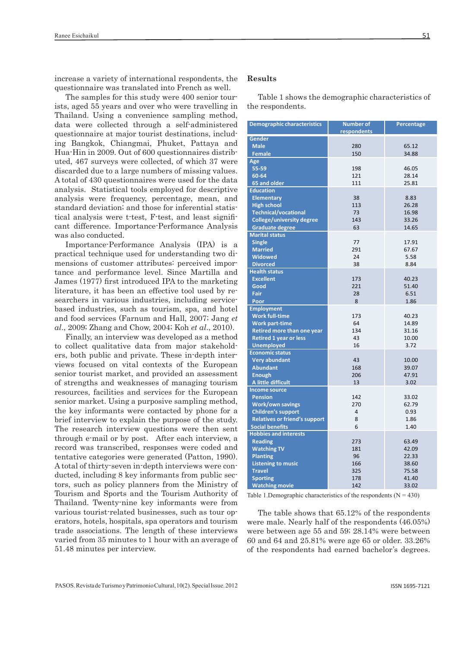increase a variety of international respondents, the questionnaire was translated into French as well.

The samples for this study were 400 senior tourists, aged 55 years and over who were travelling in Thailand. Using a convenience sampling method, data were collected through a self-administered questionnaire at major tourist destinations, including Bangkok, Chiangmai, Phuket, Pattaya and Hua-Hin in 2009. Out of 600 questionnaires distributed, 467 surveys were collected, of which 37 were discarded due to a large numbers of missing values. A total of 430 questionnaires were used for the data analysis. Statistical tools employed for descriptive analysis were frequency, percentage, mean, and standard deviation; and those for inferential statistical analysis were t-test, F-test, and least significant difference. Importance-Performance Analysis was also conducted.

Importance-Performance Analysis (IPA) is a practical technique used for understanding two dimensions of customer attributes: perceived importance and performance level. Since Martilla and James (1977) first introduced IPA to the marketing literature, it has been an effective tool used by researchers in various industries, including servicebased industries, such as tourism, spa, and hotel and food services (Farnum and Hall, 2007; Jang *et al*., 2009; Zhang and Chow, 2004; Koh *et al*., 2010).

Finally, an interview was developed as a method to collect qualitative data from major stakeholders, both public and private. These in-depth interviews focused on vital contexts of the European senior tourist market, and provided an assessment of strengths and weaknesses of managing tourism resources, facilities and services for the European senior market. Using a purposive sampling method, the key informants were contacted by phone for a brief interview to explain the purpose of the study. The research interview questions were then sent through e-mail or by post. After each interview, a record was transcribed, responses were coded and tentative categories were generated (Patton, 1990). A total of thirty-seven in-depth interviews were conducted, including 8 key informants from public sectors, such as policy planners from the Ministry of Tourism and Sports and the Tourism Authority of Thailand. Twenty-nine key informants were from various tourist-related businesses, such as tour operators, hotels, hospitals, spa operators and tourism trade associations. The length of these interviews varied from 35 minutes to 1 hour with an average of 51.48 minutes per interview.

#### **Results**

Table 1 shows the demographic characteristics of the respondents.

| <b>Demographic characteristics</b>   | <b>Number of</b><br>respondents | Percentage     |
|--------------------------------------|---------------------------------|----------------|
| <b>Gender</b>                        |                                 |                |
| <b>Male</b>                          | 280                             | 65.12          |
| <b>Female</b>                        | 150                             | 34.88          |
| Age                                  |                                 |                |
| 55-59                                | 198                             | 46.05          |
| 60-64                                | 121                             | 28.14          |
| 65 and older                         | 111                             | 25.81          |
| <b>Education</b>                     |                                 |                |
| <b>Elementary</b>                    | 38                              | 8.83           |
| <b>High school</b>                   | 113                             | 26.28          |
| <b>Technical/vocational</b>          | 73                              | 16.98          |
| <b>College/university degree</b>     | 143                             | 33.26          |
| <b>Graduate degree</b>               | 63                              | 14.65          |
| <b>Marital status</b>                |                                 |                |
| <b>Single</b>                        | 77                              | 17.91          |
| <b>Married</b>                       | 291                             | 67.67          |
| <b>Widowed</b>                       | 24                              | 5.58           |
| <b>Divorced</b>                      | 38                              | 8.84           |
| <b>Health status</b>                 |                                 |                |
| <b>Excellent</b>                     | 173                             | 40.23          |
| Good                                 | 221                             | 51.40          |
| Fair                                 | 28                              | 6.51           |
| Poor                                 | 8                               | 1.86           |
| <b>Employment</b>                    |                                 |                |
| <b>Work full-time</b>                | 173                             | 40.23          |
| <b>Work part-time</b>                | 64                              | 14.89          |
| Retired more than one year           | 134                             | 31.16          |
| <b>Retired 1 year or less</b>        | 43                              | 10.00          |
| <b>Unemployed</b>                    | 16                              | 3.72           |
| <b>Economic status</b>               |                                 |                |
| <b>Very abundant</b>                 | 43                              | 10.00          |
| <b>Abundant</b>                      | 168                             | 39.07          |
| <b>Enough</b>                        | 206                             | 47.91          |
| A little difficult                   | 13                              | 3.02           |
| <b>Income source</b>                 |                                 |                |
| <b>Pension</b>                       | 142                             | 33.02          |
| <b>Work/own savings</b>              | 270                             | 62.79          |
| <b>Children's support</b>            | 4                               | 0.93           |
| <b>Relatives or friend's support</b> | 8                               | 1.86           |
| <b>Social benefits</b>               | 6                               | 1.40           |
| <b>Hobbies and interests</b>         |                                 |                |
| <b>Reading</b>                       | 273                             | 63.49          |
| <b>Watching TV</b>                   | 181                             | 42.09          |
| <b>Planting</b>                      | 96                              | 22.33          |
| <b>Listening to music</b>            | 166<br>325                      | 38.60<br>75.58 |
| <b>Travel</b><br><b>Sporting</b>     | 178                             | 41.40          |
| <b>Watching movie</b>                | 142                             | 33.02          |
|                                      |                                 |                |

Table 1. Demographic characteristics of the respondents  $(N = 430)$ 

The table shows that 65.12% of the respondents were male. Nearly half of the respondents (46.05%) were between age 55 and 59; 28.14% were between 60 and 64 and 25.81% were age 65 or older. 33.26% of the respondents had earned bachelor's degrees.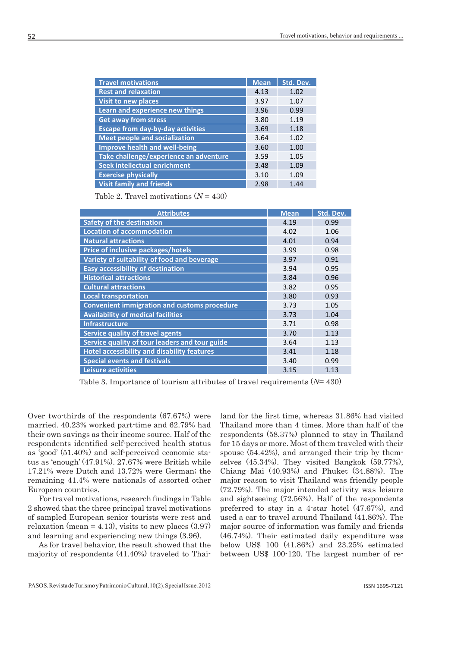| <b>Travel motivations</b>                | <b>Mean</b> | Std. Dev. |
|------------------------------------------|-------------|-----------|
| <b>Rest and relaxation</b>               | 4.13        | 1.02      |
| <b>Visit to new places</b>               | 3.97        | 1.07      |
| Learn and experience new things          | 3.96        | 0.99      |
| <b>Get away from stress</b>              | 3.80        | 1.19      |
| <b>Escape from day-by-day activities</b> | 3.69        | 1.18      |
| <b>Meet people and socialization</b>     | 3.64        | 1.02      |
| <b>Improve health and well-being</b>     | 3.60        | 1.00      |
| Take challenge/experience an adventure   | 3.59        | 1.05      |
| Seek intellectual enrichment             | 3.48        | 1.09      |
| <b>Exercise physically</b>               | 3.10        | 1.09      |
| <b>Visit family and friends</b>          | 2.98        | 1.44      |

Table 2. Travel motivations (*N* = 430)

| <b>Attributes</b>                                   | <b>Mean</b> | Std. Dev. |
|-----------------------------------------------------|-------------|-----------|
| <b>Safety of the destination</b>                    | 4.19        | 0.99      |
| <b>Location of accommodation</b>                    | 4.02        | 1.06      |
| <b>Natural attractions</b>                          | 4.01        | 0.94      |
| Price of inclusive packages/hotels                  | 3.99        | 0.98      |
| Variety of suitability of food and beverage         | 3.97        | 0.91      |
| <b>Easy accessibility of destination</b>            | 3.94        | 0.95      |
| <b>Historical attractions</b>                       | 3.84        | 0.96      |
| <b>Cultural attractions</b>                         | 3.82        | 0.95      |
| <b>Local transportation</b>                         | 3.80        | 0.93      |
| <b>Convenient immigration and customs procedure</b> | 3.73        | 1.05      |
| <b>Availability of medical facilities</b>           | 3.73        | 1.04      |
| <b>Infrastructure</b>                               | 3.71        | 0.98      |
| <b>Service quality of travel agents</b>             | 3.70        | 1.13      |
| Service quality of tour leaders and tour guide      | 3.64        | 1.13      |
| <b>Hotel accessibility and disability features</b>  | 3.41        | 1.18      |
| <b>Special events and festivals</b>                 | 3.40        | 0.99      |
| <b>Leisure activities</b>                           | 3.15        | 1.13      |

Table 3. Importance of tourism attributes of travel requirements (*N*= 430)

Over two-thirds of the respondents (67.67%) were married. 40.23% worked part-time and 62.79% had their own savings as their income source. Half of the respondents identified self-perceived health status as 'good' (51.40%) and self-perceived economic status as 'enough' (47.91%). 27.67% were British while 17.21% were Dutch and 13.72% were German; the remaining 41.4% were nationals of assorted other European countries.

For travel motivations, research findings in Table 2 showed that the three principal travel motivations of sampled European senior tourists were rest and relaxation (mean  $= 4.13$ ), visits to new places  $(3.97)$ and learning and experiencing new things (3.96).

As for travel behavior, the result showed that the majority of respondents (41.40%) traveled to Thailand for the first time, whereas 31.86% had visited Thailand more than 4 times. More than half of the respondents (58.37%) planned to stay in Thailand for 15 days or more. Most of them traveled with their spouse (54.42%), and arranged their trip by themselves (45.34%). They visited Bangkok (59.77%), Chiang Mai (40.93%) and Phuket (34.88%). The major reason to visit Thailand was friendly people (72.79%). The major intended activity was leisure and sightseeing (72.56%). Half of the respondents preferred to stay in a 4-star hotel (47.67%), and used a car to travel around Thailand (41.86%). The major source of information was family and friends (46.74%). Their estimated daily expenditure was below US\$ 100 (41.86%) and 23.25% estimated between US\$ 100-120. The largest number of re-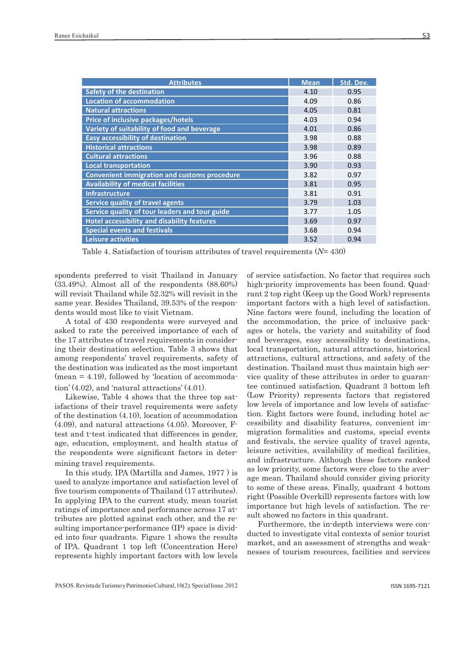| <b>Attributes</b>                                   | <b>Mean</b> | Std. Dev. |
|-----------------------------------------------------|-------------|-----------|
| <b>Safety of the destination</b>                    | 4.10        | 0.95      |
| <b>Location of accommodation</b>                    | 4.09        | 0.86      |
| <b>Natural attractions</b>                          | 4.05        | 0.81      |
| Price of inclusive packages/hotels                  | 4.03        | 0.94      |
| Variety of suitability of food and beverage         | 4.01        | 0.86      |
| <b>Easy accessibility of destination</b>            | 3.98        | 0.88      |
| <b>Historical attractions</b>                       | 3.98        | 0.89      |
| <b>Cultural attractions</b>                         | 3.96        | 0.88      |
| <b>Local transportation</b>                         | 3.90        | 0.93      |
| <b>Convenient immigration and customs procedure</b> | 3.82        | 0.97      |
| <b>Availability of medical facilities</b>           | 3.81        | 0.95      |
| <b>Infrastructure</b>                               | 3.81        | 0.91      |
| <b>Service quality of travel agents</b>             | 3.79        | 1.03      |
| Service quality of tour leaders and tour guide      | 3.77        | 1.05      |
| <b>Hotel accessibility and disability features</b>  | 3.69        | 0.97      |
| <b>Special events and festivals</b>                 | 3.68        | 0.94      |
| <b>Leisure activities</b>                           | 3.52        | 0.94      |

Table 4. Satisfaction of tourism attributes of travel requirements (*N*= 430)

spondents preferred to visit Thailand in January (33.49%). Almost all of the respondents (88.60%) will revisit Thailand while 52.32% will revisit in the same year. Besides Thailand, 39.53% of the respondents would most like to visit Vietnam.

A total of 430 respondents were surveyed and asked to rate the perceived importance of each of the 17 attributes of travel requirements in considering their destination selection. Table 3 shows that among respondents' travel requirements, safety of the destination was indicated as the most important  $(mean = 4.19)$ , followed by 'location of accommodation' (4.02), and 'natural attractions' (4.01).

Likewise, Table 4 shows that the three top satisfactions of their travel requirements were safety of the destination (4.10), location of accommodation (4.09), and natural attractions (4.05). Moreover, Ftest and t-test indicated that differences in gender, age, education, employment, and health status of the respondents were significant factors in determining travel requirements.

In this study, IPA (Martilla and James, 1977 ) is used to analyze importance and satisfaction level of five tourism components of Thailand (17 attributes). In applying IPA to the current study, mean tourist ratings of importance and performance across 17 attributes are plotted against each other, and the resulting importance-performance (IP) space is divided into four quadrants. Figure 1 shows the results of IPA. Quadrant 1 top left (Concentration Here) represents highly important factors with low levels

of service satisfaction. No factor that requires such high-priority improvements has been found. Quadrant 2 top right (Keep up the Good Work) represents important factors with a high level of satisfaction. Nine factors were found, including the location of the accommodation, the price of inclusive packages or hotels, the variety and suitability of food and beverages, easy accessibility to destinations, local transportation, natural attractions, historical attractions, cultural attractions, and safety of the destination. Thailand must thus maintain high service quality of these attributes in order to guarantee continued satisfaction. Quadrant 3 bottom left (Low Priority) represents factors that registered low levels of importance and low levels of satisfaction. Eight factors were found, including hotel accessibility and disability features, convenient immigration formalities and customs, special events and festivals, the service quality of travel agents, leisure activities, availability of medical facilities, and infrastructure. Although these factors ranked as low priority, some factors were close to the average mean. Thailand should consider giving priority to some of these areas. Finally, quadrant 4 bottom right (Possible Overkill) represents factors with low importance but high levels of satisfaction. The result showed no factors in this quadrant.

Furthermore, the in-depth interviews were conducted to investigate vital contexts of senior tourist market, and an assessment of strengths and weaknesses of tourism resources, facilities and services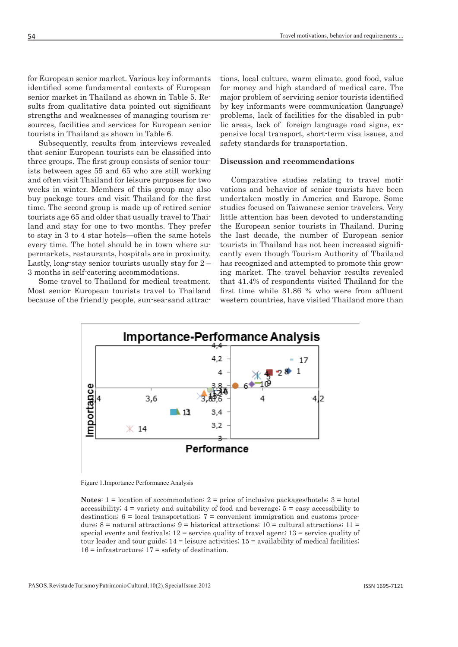for European senior market. Various key informants identified some fundamental contexts of European senior market in Thailand as shown in Table 5. Results from qualitative data pointed out significant strengths and weaknesses of managing tourism resources, facilities and services for European senior tourists in Thailand as shown in Table 6.

Subsequently, results from interviews revealed that senior European tourists can be classified into three groups. The first group consists of senior tourists between ages 55 and 65 who are still working and often visit Thailand for leisure purposes for two weeks in winter. Members of this group may also buy package tours and visit Thailand for the first time. The second group is made up of retired senior tourists age 65 and older that usually travel to Thailand and stay for one to two months. They prefer to stay in 3 to 4 star hotels—often the same hotels every time. The hotel should be in town where supermarkets, restaurants, hospitals are in proximity. Lastly, long-stay senior tourists usually stay for 2 – 3 months in self-catering accommodations.

Some travel to Thailand for medical treatment. Most senior European tourists travel to Thailand because of the friendly people, sun-sea-sand attractions, local culture, warm climate, good food, value for money and high standard of medical care. The major problem of servicing senior tourists identified by key informants were communication (language) problems, lack of facilities for the disabled in public areas, lack of foreign language road signs, expensive local transport, short-term visa issues, and safety standards for transportation.

#### **Discussion and recommendations**

Comparative studies relating to travel motivations and behavior of senior tourists have been undertaken mostly in America and Europe. Some studies focused on Taiwanese senior travelers. Very little attention has been devoted to understanding the European senior tourists in Thailand. During the last decade, the number of European senior tourists in Thailand has not been increased significantly even though Tourism Authority of Thailand has recognized and attempted to promote this growing market. The travel behavior results revealed that 41.4% of respondents visited Thailand for the first time while 31.86 % who were from affluent western countries, have visited Thailand more than



Figure 1.Importance Performance Analysis

**Notes**:  $1 =$  location of accommodation;  $2 =$  price of inclusive packages/hotels;  $3 =$  hotel accessibility;  $4 = \text{variety}$  and suitability of food and beverage;  $5 = \text{easy}$  accessibility to destination;  $6 =$  local transportation;  $7 =$  convenient immigration and customs procedure; 8 = natural attractions; 9 = historical attractions; 10 = cultural attractions; 11 = special events and festivals;  $12$  = service quality of travel agent;  $13$  = service quality of tour leader and tour guide;  $14$  = leisure activities;  $15$  = availability of medical facilities;  $16$  = infrastructure;  $17$  = safety of destination.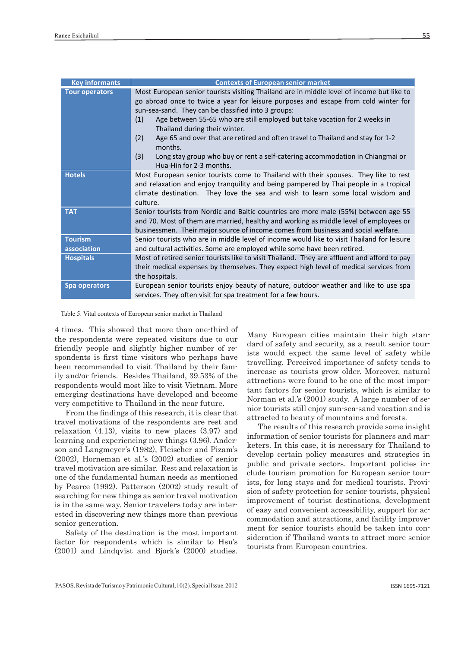| <b>Key informants</b>         | <b>Contexts of European senior market</b>                                                                                                                                                                                                                                                                                                                                                                                                                                                                                                                                           |
|-------------------------------|-------------------------------------------------------------------------------------------------------------------------------------------------------------------------------------------------------------------------------------------------------------------------------------------------------------------------------------------------------------------------------------------------------------------------------------------------------------------------------------------------------------------------------------------------------------------------------------|
| <b>Tour operators</b>         | Most European senior tourists visiting Thailand are in middle level of income but like to<br>go abroad once to twice a year for leisure purposes and escape from cold winter for<br>sun-sea-sand. They can be classified into 3 groups:<br>Age between 55-65 who are still employed but take vacation for 2 weeks in<br>(1)<br>Thailand during their winter.<br>(2)<br>Age 65 and over that are retired and often travel to Thailand and stay for 1-2<br>months.<br>(3)<br>Long stay group who buy or rent a self-catering accommodation in Chiangmai or<br>Hua-Hin for 2-3 months. |
| <b>Hotels</b>                 | Most European senior tourists come to Thailand with their spouses. They like to rest<br>and relaxation and enjoy tranquility and being pampered by Thai people in a tropical<br>climate destination. They love the sea and wish to learn some local wisdom and<br>culture.                                                                                                                                                                                                                                                                                                          |
| <b>TAT</b>                    | Senior tourists from Nordic and Baltic countries are more male (55%) between age 55<br>and 70. Most of them are married, healthy and working as middle level of employees or<br>businessmen. Their major source of income comes from business and social welfare.                                                                                                                                                                                                                                                                                                                   |
| <b>Tourism</b><br>association | Senior tourists who are in middle level of income would like to visit Thailand for leisure<br>and cultural activities. Some are employed while some have been retired.                                                                                                                                                                                                                                                                                                                                                                                                              |
| <b>Hospitals</b>              | Most of retired senior tourists like to visit Thailand. They are affluent and afford to pay<br>their medical expenses by themselves. They expect high level of medical services from<br>the hospitals.                                                                                                                                                                                                                                                                                                                                                                              |
| Spa operators                 | European senior tourists enjoy beauty of nature, outdoor weather and like to use spa<br>services. They often visit for spa treatment for a few hours.                                                                                                                                                                                                                                                                                                                                                                                                                               |

Table 5. Vital contexts of European senior market in Thailand

4 times. This showed that more than one-third of the respondents were repeated visitors due to our friendly people and slightly higher number of respondents is first time visitors who perhaps have been recommended to visit Thailand by their family and/or friends. Besides Thailand, 39.53% of the respondents would most like to visit Vietnam. More emerging destinations have developed and become very competitive to Thailand in the near future.

From the findings of this research, it is clear that travel motivations of the respondents are rest and relaxation (4.13), visits to new places (3.97) and learning and experiencing new things (3.96). Anderson and Langmeyer's (1982), Fleischer and Pizam's (2002), Horneman et al.'s (2002) studies of senior travel motivation are similar. Rest and relaxation is one of the fundamental human needs as mentioned by Pearce (1992). Patterson (2002) study result of searching for new things as senior travel motivation is in the same way. Senior travelers today are interested in discovering new things more than previous senior generation.

Safety of the destination is the most important factor for respondents which is similar to Hsu's (2001) and Lindqvist and Bjork's (2000) studies. Many European cities maintain their high standard of safety and security, as a result senior tourists would expect the same level of safety while travelling. Perceived importance of safety tends to increase as tourists grow older. Moreover, natural attractions were found to be one of the most important factors for senior tourists, which is similar to Norman et al.'s (2001) study. A large number of senior tourists still enjoy sun-sea-sand vacation and is attracted to beauty of mountains and forests.

The results of this research provide some insight information of senior tourists for planners and marketers. In this case, it is necessary for Thailand to develop certain policy measures and strategies in public and private sectors. Important policies include tourism promotion for European senior tourists, for long stays and for medical tourists. Provision of safety protection for senior tourists, physical improvement of tourist destinations, development of easy and convenient accessibility, support for accommodation and attractions, and facility improvement for senior tourists should be taken into consideration if Thailand wants to attract more senior tourists from European countries.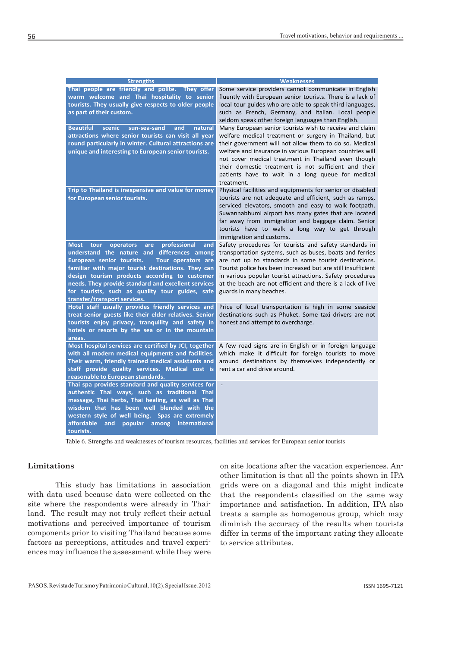| <b>Strengths</b>                                                                                                                                                                                                                                                                                                                                                                                                         | <b>Weaknesses</b>                                                                                                                                                                                                                                                                                                                                                                                 |
|--------------------------------------------------------------------------------------------------------------------------------------------------------------------------------------------------------------------------------------------------------------------------------------------------------------------------------------------------------------------------------------------------------------------------|---------------------------------------------------------------------------------------------------------------------------------------------------------------------------------------------------------------------------------------------------------------------------------------------------------------------------------------------------------------------------------------------------|
| Thai people are friendly and polite. They offer<br>warm welcome and Thai hospitality to senior<br>tourists. They usually give respects to older people<br>as part of their custom.<br><b>Beautiful</b><br>scenic<br>sun-sea-sand<br>and<br>natural                                                                                                                                                                       | Some service providers cannot communicate in English<br>fluently with European senior tourists. There is a lack of<br>local tour guides who are able to speak third languages,<br>such as French, Germany, and Italian. Local people<br>seldom speak other foreign languages than English.<br>Many European senior tourists wish to receive and claim                                             |
| attractions where senior tourists can visit all year<br>round particularly in winter. Cultural attractions are<br>unique and interesting to European senior tourists.                                                                                                                                                                                                                                                    | welfare medical treatment or surgery in Thailand, but<br>their government will not allow them to do so. Medical<br>welfare and insurance in various European countries will<br>not cover medical treatment in Thailand even though<br>their domestic treatment is not sufficient and their<br>patients have to wait in a long queue for medical<br>treatment.                                     |
| Trip to Thailand is inexpensive and value for money<br>for European senior tourists.                                                                                                                                                                                                                                                                                                                                     | Physical facilities and equipments for senior or disabled<br>tourists are not adequate and efficient, such as ramps,<br>serviced elevators, smooth and easy to walk footpath.<br>Suwannabhumi airport has many gates that are located<br>far away from immigration and baggage claim. Senior<br>tourists have to walk a long way to get through<br>immigration and customs.                       |
| professional<br><b>Most</b><br><b>tour</b><br>operators<br>and<br>are<br>understand the nature and differences among<br>European senior tourists.<br>Tour operators are<br>familiar with major tourist destinations. They can<br>design tourism products according to customer<br>needs. They provide standard and excellent services<br>for tourists, such as quality tour guides, safe<br>transfer/transport services. | Safety procedures for tourists and safety standards in<br>transportation systems, such as buses, boats and ferries<br>are not up to standards in some tourist destinations.<br>Tourist police has been increased but are still insufficient<br>in various popular tourist attractions. Safety procedures<br>at the beach are not efficient and there is a lack of live<br>guards in many beaches. |
| Hotel staff usually provides friendly services and<br>treat senior guests like their elder relatives. Senior<br>tourists enjoy privacy, tranquility and safety in<br>hotels or resorts by the sea or in the mountain<br>areas.                                                                                                                                                                                           | Price of local transportation is high in some seaside<br>destinations such as Phuket. Some taxi drivers are not<br>honest and attempt to overcharge.                                                                                                                                                                                                                                              |
| Most hospital services are certified by JCI, together<br>with all modern medical equipments and facilities.<br>Their warm, friendly trained medical assistants and<br>staff provide quality services. Medical cost is<br>reasonable to European standards.                                                                                                                                                               | A few road signs are in English or in foreign language<br>which make it difficult for foreign tourists to move<br>around destinations by themselves independently or<br>rent a car and drive around.                                                                                                                                                                                              |
| Thai spa provides standard and quality services for<br>authentic Thai ways, such as traditional Thai<br>massage, Thai herbs, Thai healing, as well as Thai<br>wisdom that has been well blended with the<br>western style of well being. Spas are extremely<br>affordable<br>popular among<br>international<br>and<br>tourists.                                                                                          | $\overline{\phantom{a}}$                                                                                                                                                                                                                                                                                                                                                                          |

Table 6. Strengths and weaknesses of tourism resources, facilities and services for European senior tourists

# **Limitations**

This study has limitations in association with data used because data were collected on the site where the respondents were already in Thailand. The result may not truly reflect their actual motivations and perceived importance of tourism components prior to visiting Thailand because some factors as perceptions, attitudes and travel experiences may influence the assessment while they were

on site locations after the vacation experiences. Another limitation is that all the points shown in IPA grids were on a diagonal and this might indicate that the respondents classified on the same way importance and satisfaction. In addition, IPA also treats a sample as homogenous group, which may diminish the accuracy of the results when tourists differ in terms of the important rating they allocate to service attributes.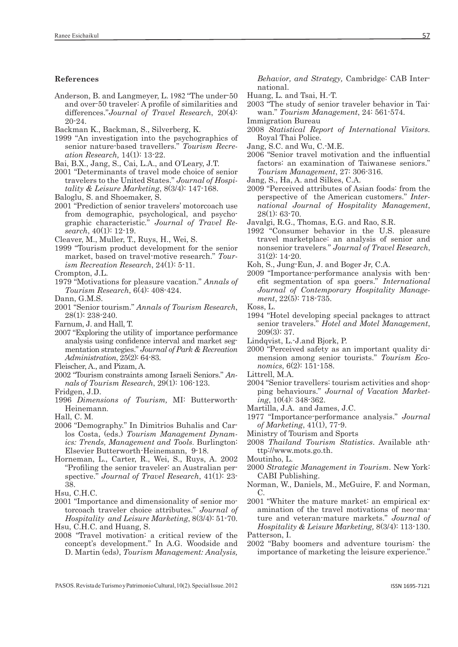#### **References**

- Anderson, B. and Langmeyer, L. 1982 "The under-50 and over-50 traveler: A profile of similarities and differences."*Journal of Travel Research*, 20(4): 20-24.
- Backman K., Backman, S., Silverberg, K.
- 1999 "An investigation into the psychographics of senior nature-based travellers." *Tourism Recreation Research,* 14(1): 13-22.
- Bai, B.X., Jang, S., Cai, L.A., and O'Leary, J.T.
- 2001 "Determinants of travel mode choice of senior travelers to the United States." *Journal of Hospitality & Leisure Marketing*, 8(3/4): 147-168.
- Baloglu, S. and Shoemaker, S.
- 2001 "Prediction of senior travelers' motorcoach use from demographic, psychological, and psychographic characteristic*.*" *Journal of Travel Research*, 40(1): 12-19.
- Cleaver, M., Muller, T., Ruys, H., Wei, S.
- 1999 "Tourism product development for the senior market, based on travel-motive research." *Tourism Recreation Research*, 24(1): 5-11.
- Crompton, J.L.
- 1979 "Motivations for pleasure vacation." *Annals of Tourism Research*, 6(4): 408-424.
- Dann, G.M.S.
- 2001 "Senior tourism." *Annals of Tourism Research*, 28(1): 238-240.
- Farnum, J. and Hall, T.
- 2007 "Exploring the utility of importance performance analysis using confidence interval and market segmentation strategies." *Journal of Park & Recreation Administration*, 25(2): 64-83.
- Fleischer, A., and Pizam, A.
- 2002 "Tourism constraints among Israeli Seniors." *Annals of Tourism Research*, 29(1): 106-123.
- Fridgen, J.D.
- 1996 *Dimensions of Tourism,* MI: Butterworth-Heinemann.
- Hall, C. M.
- 2006 "Demography." In Dimitrios Buhalis and Carlos Costa, (eds.) *Tourism Management Dynamics: Trends, Management and Tools*. Burlington: Elsevier Butterworth-Heinemann, 9-18.
- Horneman, L., Carter, R., Wei, S., Ruys, A. 2002 "Profiling the senior traveler: an Australian perspective." *Journal of Travel Research*, 41(1): 23- 38.
- Hsu, C.H.C.
- 2001 "Importance and dimensionality of senior motorcoach traveler choice attributes." *Journal of Hospitality and Leisure Marketing*, 8(3/4): 51-70.

Hsu, C.H.C. and Huang, S.

2008 "Travel motivation: a critical review of the concept's development." In A.G. Woodside and D. Martin (eds), *Tourism Management: Analysis,* 

*Behavior, and Strategy,* Cambridge: CAB International.

- Huang, L. and Tsai, H.-T.
- 2003 "The study of senior traveler behavior in Taiwan." *Tourism Management*, 24: 561-574.
- Immigration Bureau
- 2008 *Statistical Report of International Visitors.*  Royal Thai Police.
- Jang, S.C. and Wu, C.-M.E.
- 2006 "Senior travel motivation and the influential factors: an examination of Taiwanese seniors." *Tourism Management*, 27: 306-316.
- Jang, S., Ha, A. and Silkes, C.A.
- 2009 "Perceived attributes of Asian foods: from the perspective of the American customers." *International Journal of Hospitality Management*, 28(1): 63-70.

Javalgi, R.G., Thomas, E.G. and Rao, S.R.

- 1992 "Consumer behavior in the U.S. pleasure travel marketplace: an analysis of senior and nonsenior travelers*.*" *Journal of Travel Research*, 31(2): 14-20.
- Koh, S., Jung-Eun, J. and Boger Jr, C.A.
- 2009 "Importance-performance analysis with benefit segmentation of spa goers." *International Journal of Contemporary Hospitality Management*, 22(5): 718-735.
- Koss, L.
- 1994 "Hotel developing special packages to attract senior travelers." *Hotel and Motel Management*, 209(3): 37.
- Lindqvist, L.-J.and Bjork, P.
- 2000 "Perceived safety as an important quality dimension among senior tourists." *Tourism Economics*, 6(2): 151-158.
- Littrell, M.A.
- 2004 "Senior travellers: tourism activities and shopping behaviours." *Journal of Vacation Marketing*, 10(4): 348-362.
- Martilla, J.A. and James, J.C.
- 1977 "Importance-performance analysis." *Journal of Marketing*, 41(1), 77-9.
- Ministry of Tourism and Sports
- 2008 *Thailand Tourism Statistics*. Available athttp://www.mots.go.th.
- Moutinho, L.
- 2000 *Strategic Management in Tourism*. New York: CABI Publishing.
- Norman, W., Daniels, M., McGuire, F. and Norman, C.
- 2001 "Whiter the mature market: an empirical examination of the travel motivations of neo-mature and veteran-mature markets." *Journal of Hospitality & Leisure Marketing,* 8(3/4): 113-130. Patterson, I.
- 2002 "Baby boomers and adventure tourism: the importance of marketing the leisure experience."